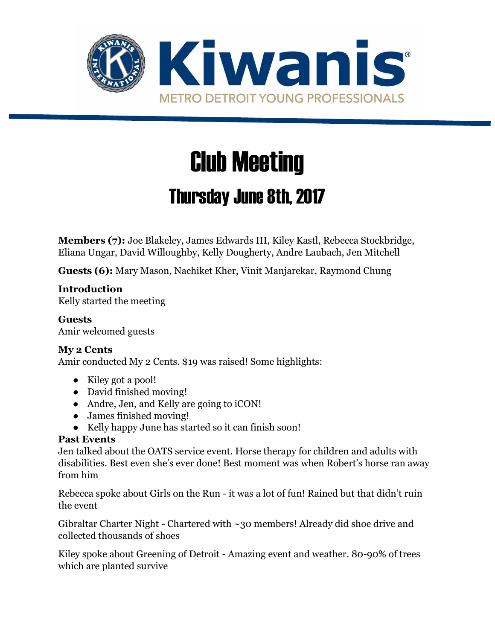

# Club Meeting

# Thursday June 8th, 2017

**Members (7):** Joe Blakeley, James Edwards III, Kiley Kastl, Rebecca Stockbridge, Eliana Ungar, David Willoughby, Kelly Dougherty, Andre Laubach, Jen Mitchell

**Guests (6):** Mary Mason, Nachiket Kher, Vinit Manjarekar, Raymond Chung

#### **Introduction**

Kelly started the meeting

**Guests** Amir welcomed guests

#### **My 2 Cents**

Amir conducted My 2 Cents. \$19 was raised! Some highlights:

- Kiley got a pool!
- David finished moving!
- Andre, Jen, and Kelly are going to iCON!
- James finished moving!
- Kelly happy June has started so it can finish soon!

#### **Past Events**

Jen talked about the OATS service event. Horse therapy for children and adults with disabilities. Best even she's ever done! Best moment was when Robert's horse ran away from him

Rebecca spoke about Girls on the Run - it was a lot of fun! Rained but that didn't ruin the event

Gibraltar Charter Night - Chartered with ~30 members! Already did shoe drive and collected thousands of shoes

Kiley spoke about Greening of Detroit - Amazing event and weather. 80-90% of trees which are planted survive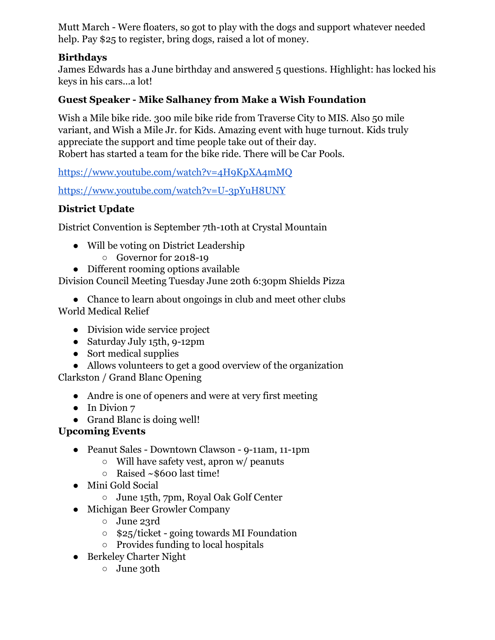Mutt March - Were floaters, so got to play with the dogs and support whatever needed help. Pay \$25 to register, bring dogs, raised a lot of money.

## **Birthdays**

James Edwards has a June birthday and answered 5 questions. Highlight: has locked his keys in his cars...a lot!

## **Guest Speaker - Mike Salhaney from Make a Wish Foundation**

Wish a Mile bike ride. 300 mile bike ride from Traverse City to MIS. Also 50 mile variant, and Wish a Mile Jr. for Kids. Amazing event with huge turnout. Kids truly appreciate the support and time people take out of their day. Robert has started a team for the bike ride. There will be Car Pools.

<https://www.youtube.com/watch?v=4H9KpXA4mMQ>

<https://www.youtube.com/watch?v=U-3pYuH8UNY>

# **District Update**

District Convention is September 7th-10th at Crystal Mountain

- Will be voting on District Leadership
	- Governor for 2018-19
- Different rooming options available

Division Council Meeting Tuesday June 20th 6:30pm Shields Pizza

• Chance to learn about ongoings in club and meet other clubs World Medical Relief

- Division wide service project
- Saturday July 15th, 9-12pm
- Sort medical supplies

• Allows volunteers to get a good overview of the organization Clarkston / Grand Blanc Opening

- Andre is one of openers and were at very first meeting
- In Divion 7
- Grand Blanc is doing well!

# **Upcoming Events**

- Peanut Sales Downtown Clawson 9-11am, 11-1pm
	- Will have safety vest, apron w/ peanuts
	- $\circ$  Raised ~\$600 last time!
- Mini Gold Social
	- June 15th, 7pm, Royal Oak Golf Center
- Michigan Beer Growler Company
	- June 23rd
	- \$25/ticket going towards MI Foundation
	- Provides funding to local hospitals
- Berkeley Charter Night
	- June 30th